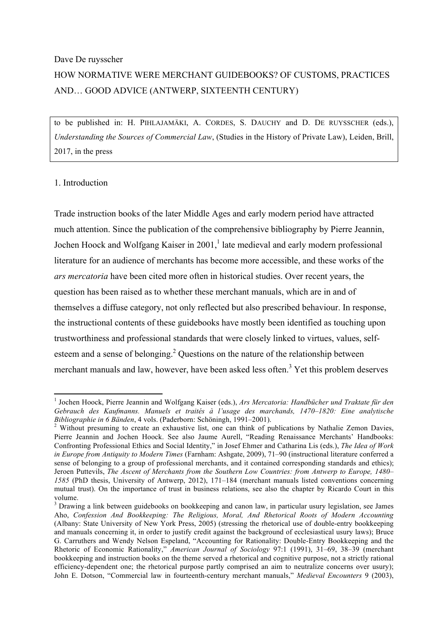# Dave De ruysscher HOW NORMATIVE WERE MERCHANT GUIDEBOOKS? OF CUSTOMS, PRACTICES AND… GOOD ADVICE (ANTWERP, SIXTEENTH CENTURY)

to be published in: H. PIHLAJAMÄKI, A. CORDES, S. DAUCHY and D. DE RUYSSCHER (eds.), *Understanding the Sources of Commercial Law*, (Studies in the History of Private Law), Leiden, Brill, 2017, in the press

## 1. Introduction

<u> Andrew Maria (1989)</u>

Trade instruction books of the later Middle Ages and early modern period have attracted much attention. Since the publication of the comprehensive bibliography by Pierre Jeannin, Jochen Hoock and Wolfgang Kaiser in  $2001<sup>1</sup>$  late medieval and early modern professional literature for an audience of merchants has become more accessible, and these works of the *ars mercatoria* have been cited more often in historical studies. Over recent years, the question has been raised as to whether these merchant manuals, which are in and of themselves a diffuse category, not only reflected but also prescribed behaviour. In response, the instructional contents of these guidebooks have mostly been identified as touching upon trustworthiness and professional standards that were closely linked to virtues, values, selfesteem and a sense of belonging.<sup>2</sup> Questions on the nature of the relationship between merchant manuals and law, however, have been asked less often.<sup>3</sup> Yet this problem deserves

<sup>1</sup> Jochen Hoock, Pierre Jeannin and Wolfgang Kaiser (eds.), *Ars Mercatoria: Handbücher und Traktate für den Gebrauch des Kaufmanns. Manuels et traités à l'usage des marchands, 1470–1820: Eine analytische Bibliographie in 6 Bänden, 4 vols. (Paderborn: Schöningh, 1991–2001).* 

<sup>&</sup>lt;sup>2</sup> Without presuming to create an exhaustive list, one can think of publications by Nathalie Zemon Davies, Pierre Jeannin and Jochen Hoock. See also Jaume Aurell, "Reading Renaissance Merchants' Handbooks: Confronting Professional Ethics and Social Identity," in Josef Ehmer and Catharina Lis (eds.), *The Idea of Work in Europe from Antiquity to Modern Times* (Farnham: Ashgate, 2009), 71–90 (instructional literature conferred a sense of belonging to a group of professional merchants, and it contained corresponding standards and ethics); Jeroen Puttevils, *The Ascent of Merchants from the Southern Low Countries: from Antwerp to Europe, 1480– 1585* (PhD thesis, University of Antwerp, 2012), 171–184 (merchant manuals listed conventions concerning mutual trust). On the importance of trust in business relations, see also the chapter by Ricardo Court in this volume.

<sup>&</sup>lt;sup>3</sup> Drawing a link between guidebooks on bookkeeping and canon law, in particular usury legislation, see James Aho, *Confession And Bookkeeping: The Religious, Moral, And Rhetorical Roots of Modern Accounting* (Albany: State University of New York Press, 2005) (stressing the rhetorical use of double-entry bookkeeping and manuals concerning it, in order to justify credit against the background of ecclesiastical usury laws); Bruce G. Carruthers and Wendy Nelson Espeland, "Accounting for Rationality: Double-Entry Bookkeeping and the Rhetoric of Economic Rationality," *American Journal of Sociology* 97:1 (1991), 31–69, 38–39 (merchant bookkeeping and instruction books on the theme served a rhetorical and cognitive purpose, not a strictly rational efficiency-dependent one; the rhetorical purpose partly comprised an aim to neutralize concerns over usury); John E. Dotson, "Commercial law in fourteenth-century merchant manuals," *Medieval Encounters* 9 (2003),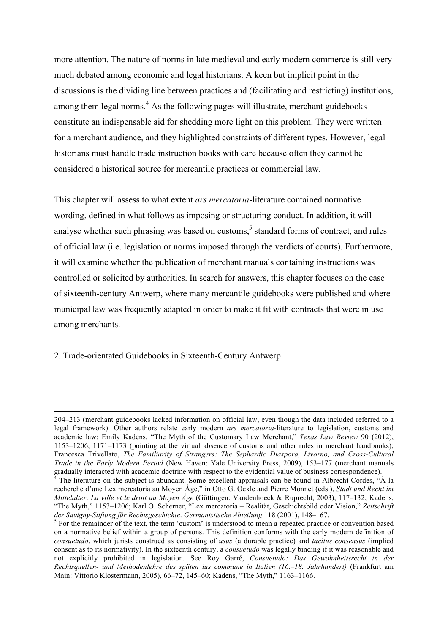more attention. The nature of norms in late medieval and early modern commerce is still very much debated among economic and legal historians. A keen but implicit point in the discussions is the dividing line between practices and (facilitating and restricting) institutions, among them legal norms.<sup>4</sup> As the following pages will illustrate, merchant guidebooks constitute an indispensable aid for shedding more light on this problem. They were written for a merchant audience, and they highlighted constraints of different types. However, legal historians must handle trade instruction books with care because often they cannot be considered a historical source for mercantile practices or commercial law.

This chapter will assess to what extent *ars mercatoria*-literature contained normative wording, defined in what follows as imposing or structuring conduct. In addition, it will analyse whether such phrasing was based on customs, $<sup>5</sup>$  standard forms of contract, and rules</sup> of official law (i.e. legislation or norms imposed through the verdicts of courts). Furthermore, it will examine whether the publication of merchant manuals containing instructions was controlled or solicited by authorities. In search for answers, this chapter focuses on the case of sixteenth-century Antwerp, where many mercantile guidebooks were published and where municipal law was frequently adapted in order to make it fit with contracts that were in use among merchants.

### 2. Trade-orientated Guidebooks in Sixteenth-Century Antwerp

<u> 1989 - Andrea Santa Alemania, amerikana amerikana amerikana amerikana amerikana amerikana amerikana amerikan</u>

<sup>204–213 (</sup>merchant guidebooks lacked information on official law, even though the data included referred to a legal framework). Other authors relate early modern *ars mercatoria*-literature to legislation, customs and academic law: Emily Kadens, "The Myth of the Customary Law Merchant," *Texas Law Review* 90 (2012), 1153–1206, 1171–1173 (pointing at the virtual absence of customs and other rules in merchant handbooks); Francesca Trivellato, *The Familiarity of Strangers: The Sephardic Diaspora, Livorno, and Cross-Cultural Trade in the Early Modern Period* (New Haven: Yale University Press, 2009), 153–177 (merchant manuals gradually interacted with academic doctrine with respect to the evidential value of business correspondence).

<sup>4</sup> The literature on the subject is abundant. Some excellent appraisals can be found in Albrecht Cordes, "À la recherche d'une Lex mercatoria au Moyen Âge," in Otto G. Oexle and Pierre Monnet (eds.), *Stadt und Recht im Mittelalter*: *La ville et le droit au Moyen Âge* (Göttingen: Vandenhoeck & Ruprecht, 2003), 117–132; Kadens, "The Myth," 1153–1206; Karl O. Scherner, "Lex mercatoria – Realität, Geschichtsbild oder Vision," *Zeitschrift* 

*der Savigny-Stiftung für Rechtsgeschichte. Germanistische Abteilung 118 (2001), 148–167.* <sup>5</sup> For the remainder of the text, the term 'custom' is understood to mean a repeated practice or convention based on a normative belief within a group of persons. This definition conforms with the early modern definition of *consuetudo*, which jurists construed as consisting of *usus* (a durable practice) and *tacitus consensus* (implied consent as to its normativity). In the sixteenth century, a *consuetudo* was legally binding if it was reasonable and not explicitly prohibited in legislation. See Roy Garré, *Consuetudo: Das Gewohnheitsrecht in der Rechtsquellen- und Methodenlehre des späten ius commune in Italien (16.–18. Jahrhundert)* (Frankfurt am Main: Vittorio Klostermann, 2005), 66–72, 145–60; Kadens, "The Myth," 1163–1166.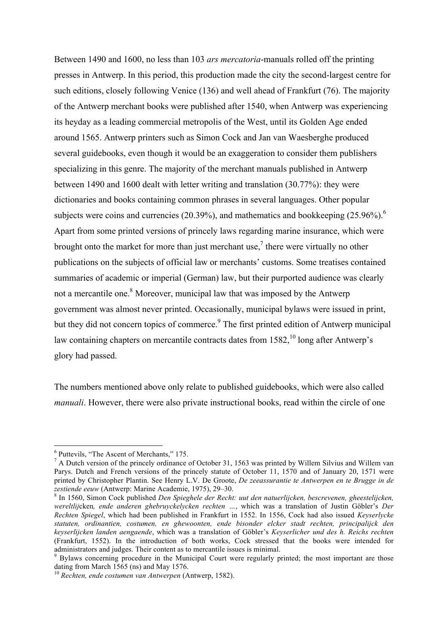Between 1490 and 1600, no less than 103 *ars mercatoria*-manuals rolled off the printing presses in Antwerp. In this period, this production made the city the second-largest centre for such editions, closely following Venice (136) and well ahead of Frankfurt (76). The majority of the Antwerp merchant books were published after 1540, when Antwerp was experiencing its heyday as a leading commercial metropolis of the West, until its Golden Age ended around 1565. Antwerp printers such as Simon Cock and Jan van Waesberghe produced several guidebooks, even though it would be an exaggeration to consider them publishers specializing in this genre. The majority of the merchant manuals published in Antwerp between 1490 and 1600 dealt with letter writing and translation (30.77%): they were dictionaries and books containing common phrases in several languages. Other popular subjects were coins and currencies (20.39%), and mathematics and bookkeeping (25.96%).<sup>6</sup> Apart from some printed versions of princely laws regarding marine insurance, which were brought onto the market for more than just merchant use,<sup>7</sup> there were virtually no other publications on the subjects of official law or merchants' customs. Some treatises contained summaries of academic or imperial (German) law, but their purported audience was clearly not a mercantile one.<sup>8</sup> Moreover, municipal law that was imposed by the Antwerp government was almost never printed. Occasionally, municipal bylaws were issued in print, but they did not concern topics of commerce.<sup>9</sup> The first printed edition of Antwerp municipal law containing chapters on mercantile contracts dates from 1582,<sup>10</sup> long after Antwerp's glory had passed.

The numbers mentioned above only relate to published guidebooks, which were also called *manuali*. However, there were also private instructional books, read within the circle of one

<sup>6</sup> Puttevils, "The Ascent of Merchants," 175.

<sup>&</sup>lt;sup>7</sup> A Dutch version of the princely ordinance of October 31, 1563 was printed by Willem Silvius and Willem van Parys. Dutch and French versions of the princely statute of October 11, 1570 and of January 20, 1571 were printed by Christopher Plantin. See Henry L.V. De Groote, *De zeeassurantie te Antwerpen en te Brugge in de zestiende eeuw* (Antwerp: Marine Academie, 1975), 29–30. <sup>8</sup> In 1560, Simon Cock published *Den Spieghele der Recht: uut den natuerlijcken, bescrevenen, gheestelijcken,* 

*wereltlij*cken*, ende anderen ghebruyckelycken rechten …*, which was a translation of Justin Göbler's *Der Rechten Spiegel*, which had been published in Frankfurt in 1552. In 1556, Cock had also issued *Keyserlycke statuten, ordinantien, costumen, en ghewoonten, ende bisonder elcker stadt rechten, principalijck den keyserlijcken landen aengaende*, which was a translation of Göbler's *Keyserlicher und des h. Reichs rechten* (Frankfurt, 1552). In the introduction of both works, Cock stressed that the books were intended for administrators and judges. Their content as to mercantile issues is minimal.<br><sup>9</sup> Bylaws concerning procedure in the Municipal Court were regularly printed; the most important are those

dating from March 1565 (ns) and May 1576.

<sup>10</sup> *Rechten, ende costumen van Antwerpen* (Antwerp, 1582).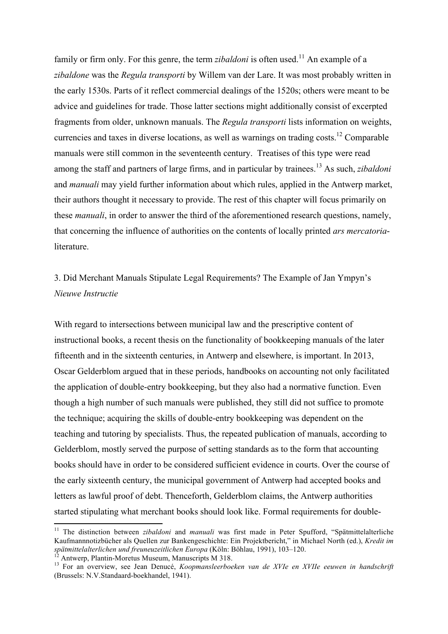family or firm only. For this genre, the term *zibaldoni* is often used.<sup>11</sup> An example of a *zibaldone* was the *Regula transporti* by Willem van der Lare. It was most probably written in the early 1530s. Parts of it reflect commercial dealings of the 1520s; others were meant to be advice and guidelines for trade. Those latter sections might additionally consist of excerpted fragments from older, unknown manuals. The *Regula transporti* lists information on weights, currencies and taxes in diverse locations, as well as warnings on trading costs.12 Comparable manuals were still common in the seventeenth century. Treatises of this type were read among the staff and partners of large firms, and in particular by trainees.<sup>13</sup> As such, *zibaldoni* and *manuali* may yield further information about which rules, applied in the Antwerp market, their authors thought it necessary to provide. The rest of this chapter will focus primarily on these *manuali*, in order to answer the third of the aforementioned research questions, namely, that concerning the influence of authorities on the contents of locally printed *ars mercatoria*literature.

## 3. Did Merchant Manuals Stipulate Legal Requirements? The Example of Jan Ympyn's *Nieuwe Instructie*

With regard to intersections between municipal law and the prescriptive content of instructional books, a recent thesis on the functionality of bookkeeping manuals of the later fifteenth and in the sixteenth centuries, in Antwerp and elsewhere, is important. In 2013, Oscar Gelderblom argued that in these periods, handbooks on accounting not only facilitated the application of double-entry bookkeeping, but they also had a normative function. Even though a high number of such manuals were published, they still did not suffice to promote the technique; acquiring the skills of double-entry bookkeeping was dependent on the teaching and tutoring by specialists. Thus, the repeated publication of manuals, according to Gelderblom, mostly served the purpose of setting standards as to the form that accounting books should have in order to be considered sufficient evidence in courts. Over the course of the early sixteenth century, the municipal government of Antwerp had accepted books and letters as lawful proof of debt. Thenceforth, Gelderblom claims, the Antwerp authorities started stipulating what merchant books should look like. Formal requirements for double-

<sup>&</sup>lt;sup>11</sup> The distinction between *zibaldoni* and *manuali* was first made in Peter Spufford, "Spätmittelalterliche Kaufmannnotizbücher als Quellen zur Bankengeschichte: Ein Projektbericht," in Michael North (ed.), *Kredit im* 

<sup>&</sup>lt;sup>12</sup> Antwerp, Plantin-Moretus Museum, Manuscripts M 318.<br><sup>13</sup> For an overview, see Jean Denucé, *Koopmansleerboeken van de XVIe en XVIIe eeuwen in handschrift* (Brussels: N.V.Standaard-boekhandel, 1941).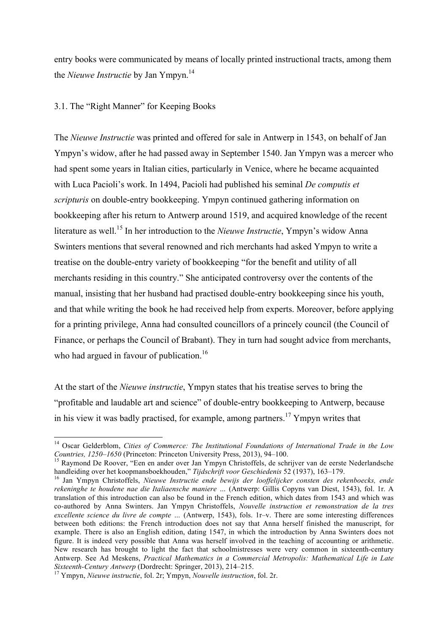entry books were communicated by means of locally printed instructional tracts, among them the *Nieuwe Instructie* by Jan Ympyn.<sup>14</sup>

### 3.1. The "Right Manner" for Keeping Books

The *Nieuwe Instructie* was printed and offered for sale in Antwerp in 1543, on behalf of Jan Ympyn's widow, after he had passed away in September 1540. Jan Ympyn was a mercer who had spent some years in Italian cities, particularly in Venice, where he became acquainted with Luca Pacioli's work. In 1494, Pacioli had published his seminal *De computis et scripturis* on double-entry bookkeeping. Ympyn continued gathering information on bookkeeping after his return to Antwerp around 1519, and acquired knowledge of the recent literature as well.<sup>15</sup> In her introduction to the *Nieuwe Instructie*, Ympyn's widow Anna Swinters mentions that several renowned and rich merchants had asked Ympyn to write a treatise on the double-entry variety of bookkeeping "for the benefit and utility of all merchants residing in this country." She anticipated controversy over the contents of the manual, insisting that her husband had practised double-entry bookkeeping since his youth, and that while writing the book he had received help from experts. Moreover, before applying for a printing privilege, Anna had consulted councillors of a princely council (the Council of Finance, or perhaps the Council of Brabant). They in turn had sought advice from merchants, who had argued in favour of publication.<sup>16</sup>

At the start of the *Nieuwe instructie*, Ympyn states that his treatise serves to bring the "profitable and laudable art and science" of double-entry bookkeeping to Antwerp, because in his view it was badly practised, for example, among partners.<sup>17</sup> Ympyn writes that

<sup>14</sup> Oscar Gelderblom, *Cities of Commerce: The Institutional Foundations of International Trade in the Low* 

*Countries, 1250–1650* (Princeton: Princeton University Press, 2013), 94–100.<br><sup>15</sup> Raymond De Roover, "Een en ander over Jan Ympyn Christoffels, de schrijver van de eerste Nederlandsche<br>handleiding over het koopmansboekhou

<sup>&</sup>lt;sup>16</sup> Jan Ympyn Christoffels, *Nieuwe Instructie ende bewijs der looffelijcker consten des rekenboecks, ende rekeninghe te houdene nae die Italiaensche maniere …* (Antwerp: Gillis Copyns van Diest, 1543), fol. 1r. A translation of this introduction can also be found in the French edition, which dates from 1543 and which was co-authored by Anna Swinters. Jan Ympyn Christoffels, *Nouvelle instruction et remonstration de la tres excellente science du livre de compte …* (Antwerp, 1543), fols. 1r–v. There are some interesting differences between both editions: the French introduction does not say that Anna herself finished the manuscript, for example. There is also an English edition, dating 1547, in which the introduction by Anna Swinters does not figure. It is indeed very possible that Anna was herself involved in the teaching of accounting or arithmetic. New research has brought to light the fact that schoolmistresses were very common in sixteenth-century Antwerp. See Ad Meskens, *Practical Mathematics in a Commercial Metropolis: Mathematical Life in Late Sixteenth-Century Antwerp* (Dordrecht: Springer, 2013), 214–215. <sup>17</sup> Ympyn, *Nieuwe instructie*, fol. 2r; Ympyn, *Nouvelle instruction*, fol. 2r.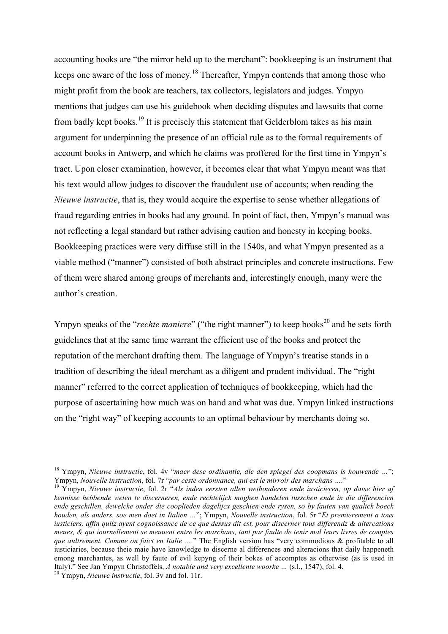accounting books are "the mirror held up to the merchant": bookkeeping is an instrument that keeps one aware of the loss of money.<sup>18</sup> Thereafter, Ympyn contends that among those who might profit from the book are teachers, tax collectors, legislators and judges. Ympyn mentions that judges can use his guidebook when deciding disputes and lawsuits that come from badly kept books.<sup>19</sup> It is precisely this statement that Gelderblom takes as his main argument for underpinning the presence of an official rule as to the formal requirements of account books in Antwerp, and which he claims was proffered for the first time in Ympyn's tract. Upon closer examination, however, it becomes clear that what Ympyn meant was that his text would allow judges to discover the fraudulent use of accounts; when reading the *Nieuwe instructie*, that is, they would acquire the expertise to sense whether allegations of fraud regarding entries in books had any ground. In point of fact, then, Ympyn's manual was not reflecting a legal standard but rather advising caution and honesty in keeping books. Bookkeeping practices were very diffuse still in the 1540s, and what Ympyn presented as a viable method ("manner") consisted of both abstract principles and concrete instructions. Few of them were shared among groups of merchants and, interestingly enough, many were the author's creation.

Ympyn speaks of the "*rechte maniere*" ("the right manner") to keep books<sup>20</sup> and he sets forth guidelines that at the same time warrant the efficient use of the books and protect the reputation of the merchant drafting them. The language of Ympyn's treatise stands in a tradition of describing the ideal merchant as a diligent and prudent individual. The "right manner" referred to the correct application of techniques of bookkeeping, which had the purpose of ascertaining how much was on hand and what was due. Ympyn linked instructions on the "right way" of keeping accounts to an optimal behaviour by merchants doing so.

<sup>18</sup> Ympyn, *Nieuwe instructie*, fol. 4v "*maer dese ordinantie, die den spiegel des coopmans is houwende …*"; Ympyn, Nouvelle instruction, fol. 7r "par ceste ordonnance, qui est le mirroir des marchans ...."<br><sup>19</sup> Ympyn, Nieuwe instructie, fol. 2r "Als inden eersten allen wethouderen ende iusticieren, op datse hier af

*kennisse hebbende weten te discerneren, ende rechtelijck moghen handelen tusschen ende in die differencien ende geschillen, dewelcke onder die cooplieden dagelijcx geschien ende rysen, so by fauten van qualick boeck houden, als anders, soe men doet in Italien …*"; Ympyn, *Nouvelle instruction*, fol. 5r "*Et premierement a tous iusticiers, affin quilz ayent cognoissance de ce que dessus dit est, pour discerner tous differendz & altercations meues, & qui iournellement se meuuent entre les marchans, tant par faulte de tenir mal leurs livres de comptes que aultrement. Comme on faict en Italie ….*" The English version has "very commodious & profitable to all iusticiaries, because theie maie have knowledge to discerne al differences and alteracions that daily happeneth emong marchantes, as well by faute of evil kepyng of their bokes of accomptes as otherwise (as is used in Italy)." See Jan Ympyn Christoffels, *A notable and very excellente woorke …* (s.l., 1547), fol. 4. <sup>20</sup> Ympyn, *Nieuwe instructie*, fol. 3v and fol. 11r.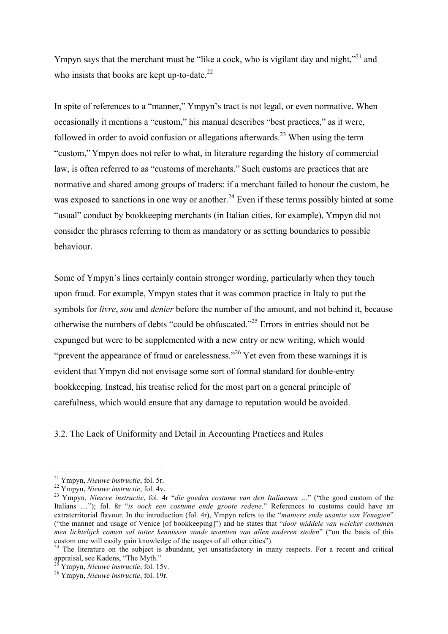Ympyn says that the merchant must be "like a cock, who is vigilant day and night,"<sup>21</sup> and who insists that books are kept up-to-date. $^{22}$ 

In spite of references to a "manner," Ympyn's tract is not legal, or even normative. When occasionally it mentions a "custom," his manual describes "best practices," as it were, followed in order to avoid confusion or allegations afterwards.<sup>23</sup> When using the term "custom," Ympyn does not refer to what, in literature regarding the history of commercial law, is often referred to as "customs of merchants." Such customs are practices that are normative and shared among groups of traders: if a merchant failed to honour the custom, he was exposed to sanctions in one way or another.<sup>24</sup> Even if these terms possibly hinted at some "usual" conduct by bookkeeping merchants (in Italian cities, for example), Ympyn did not consider the phrases referring to them as mandatory or as setting boundaries to possible behaviour.

Some of Ympyn's lines certainly contain stronger wording, particularly when they touch upon fraud. For example, Ympyn states that it was common practice in Italy to put the symbols for *livre*, *sou* and *denier* before the number of the amount, and not behind it, because otherwise the numbers of debts "could be obfuscated."25 Errors in entries should not be expunged but were to be supplemented with a new entry or new writing, which would "prevent the appearance of fraud or carelessness."<sup>26</sup> Yet even from these warnings it is evident that Ympyn did not envisage some sort of formal standard for double-entry bookkeeping. Instead, his treatise relied for the most part on a general principle of carefulness, which would ensure that any damage to reputation would be avoided.

3.2. The Lack of Uniformity and Detail in Accounting Practices and Rules

<sup>21</sup> Ympyn, *Nieuwe instructie*, fol. 5r. <sup>22</sup> Ympyn, *Nieuwe instructie*, fol. 4v. <sup>23</sup> Ympyn, *Nieuwe instructie*, fol. 4r "*die goeden costume van den Italiaenen …*" ("the good custom of the Italians …"); fol. 8r "*is oock een costume ende groote redene*." References to customs could have an extraterritorial flavour. In the introduction (fol. 4r), Ympyn refers to the "*maniere ende usantie van Venegien*" ("the manner and usage of Venice [of bookkeeping]") and he states that "*door middele van welcker costumen men lichtelijck comen sal totter kennissen vande usantien van allen anderen steden*" ("on the basis of this custom one will easily gain knowledge of the usages of all other cities").

<sup>&</sup>lt;sup>24</sup> The literature on the subject is abundant, yet unsatisfactory in many respects. For a recent and critical appraisal, see Kadens, "The Myth."

<sup>25</sup> Ympyn, *Nieuwe instructie*, fol. 15v. <sup>26</sup> Ympyn, *Nieuwe instructie*, fol. 19r.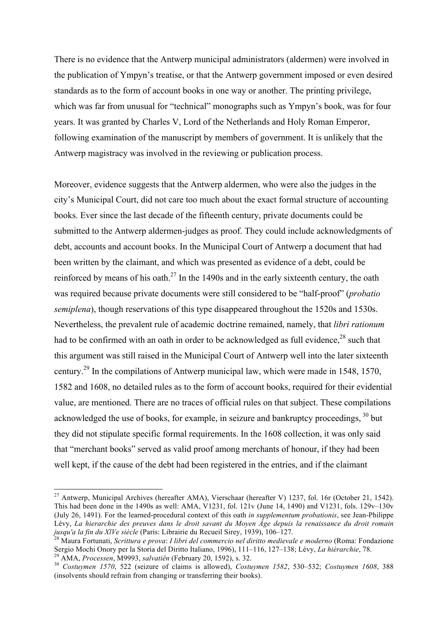There is no evidence that the Antwerp municipal administrators (aldermen) were involved in the publication of Ympyn's treatise, or that the Antwerp government imposed or even desired standards as to the form of account books in one way or another. The printing privilege, which was far from unusual for "technical" monographs such as Ympyn's book, was for four years. It was granted by Charles V, Lord of the Netherlands and Holy Roman Emperor, following examination of the manuscript by members of government. It is unlikely that the Antwerp magistracy was involved in the reviewing or publication process.

Moreover, evidence suggests that the Antwerp aldermen, who were also the judges in the city's Municipal Court, did not care too much about the exact formal structure of accounting books. Ever since the last decade of the fifteenth century, private documents could be submitted to the Antwerp aldermen-judges as proof. They could include acknowledgments of debt, accounts and account books. In the Municipal Court of Antwerp a document that had been written by the claimant, and which was presented as evidence of a debt, could be reinforced by means of his oath.<sup>27</sup> In the 1490s and in the early sixteenth century, the oath was required because private documents were still considered to be "half-proof" (*probatio semiplena*), though reservations of this type disappeared throughout the 1520s and 1530s. Nevertheless, the prevalent rule of academic doctrine remained, namely, that *libri rationum*  had to be confirmed with an oath in order to be acknowledged as full evidence,  $28$  such that this argument was still raised in the Municipal Court of Antwerp well into the later sixteenth century.29 In the compilations of Antwerp municipal law, which were made in 1548, 1570, 1582 and 1608, no detailed rules as to the form of account books, required for their evidential value, are mentioned. There are no traces of official rules on that subject. These compilations acknowledged the use of books, for example, in seizure and bankruptcy proceedings,  $30$  but they did not stipulate specific formal requirements. In the 1608 collection, it was only said that "merchant books" served as valid proof among merchants of honour, if they had been well kept, if the cause of the debt had been registered in the entries, and if the claimant

<sup>&</sup>lt;sup>27</sup> Antwerp, Municipal Archives (hereafter AMA), Vierschaar (hereafter V) 1237, fol. 16r (October 21, 1542). This had been done in the 1490s as well: AMA, V1231, fol. 121v (June 14, 1490) and V1231, fols. 129v–130v (July 26, 1491). For the learned-procedural context of this oath *in supplementum probationis*, see Jean-Philippe Lévy, *La hierarchie des preuves dans le droit savant du Moyen Âge depuis la renaissance du droit romain* 

*jusqu'a la fin du XlVe siècle* (Paris: Librairie du Recueil Sirey, 1939), 106–127. <sup>28</sup> Maura Fortunati, *Scrittura e prova*: *I libri del commercio nel diritto medievale e moderno* (Roma: Fondazione

<sup>&</sup>lt;sup>29</sup> AMA, Processen, M9993, salvatiën (February 20, 1592), s. 32.<br><sup>30</sup> Costuymen 1570, 522 (seizure of claims is allowed), Costuymen 1582, 530–532; Costuymen 1608, 388 (insolvents should refrain from changing or transferring their books).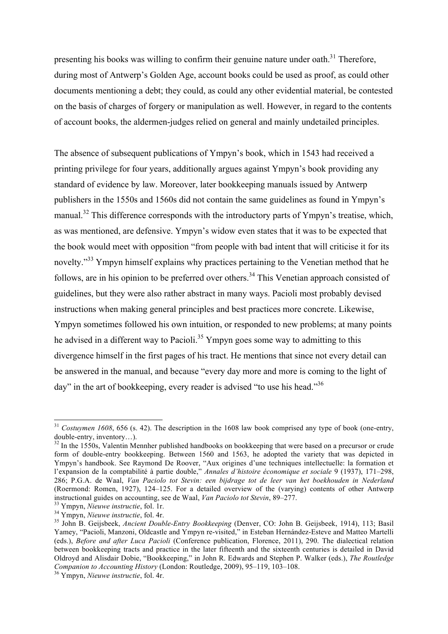presenting his books was willing to confirm their genuine nature under oath.<sup>31</sup> Therefore, during most of Antwerp's Golden Age, account books could be used as proof, as could other documents mentioning a debt; they could, as could any other evidential material, be contested on the basis of charges of forgery or manipulation as well. However, in regard to the contents of account books, the aldermen-judges relied on general and mainly undetailed principles.

The absence of subsequent publications of Ympyn's book, which in 1543 had received a printing privilege for four years, additionally argues against Ympyn's book providing any standard of evidence by law. Moreover, later bookkeeping manuals issued by Antwerp publishers in the 1550s and 1560s did not contain the same guidelines as found in Ympyn's manual.<sup>32</sup> This difference corresponds with the introductory parts of Ympyn's treatise, which, as was mentioned, are defensive. Ympyn's widow even states that it was to be expected that the book would meet with opposition "from people with bad intent that will criticise it for its novelty."<sup>33</sup> Ympyn himself explains why practices pertaining to the Venetian method that he follows, are in his opinion to be preferred over others.<sup>34</sup> This Venetian approach consisted of guidelines, but they were also rather abstract in many ways. Pacioli most probably devised instructions when making general principles and best practices more concrete. Likewise, Ympyn sometimes followed his own intuition, or responded to new problems; at many points he advised in a different way to Pacioli.<sup>35</sup> Ympyn goes some way to admitting to this divergence himself in the first pages of his tract. He mentions that since not every detail can be answered in the manual, and because "every day more and more is coming to the light of day" in the art of bookkeeping, every reader is advised "to use his head."<sup>36</sup>

<sup>&</sup>lt;sup>31</sup> *Costuymen 1608*, 656 (s. 42). The description in the 1608 law book comprised any type of book (one-entry, double-entry, inventory...).

 $32$  In the 1550s, Valentin Mennher published handbooks on bookkeeping that were based on a precursor or crude form of double-entry bookkeeping. Between 1560 and 1563, he adopted the variety that was depicted in Ympyn's handbook. See Raymond De Roover, "Aux origines d'une techniques intellectuelle: la formation et l'expansion de la comptabilité à partie double," *Annales d'histoire économique et sociale* 9 (1937), 171–298, 286; P.G.A. de Waal, *Van Paciolo tot Stevin: een bijdrage tot de leer van het boekhouden in Nederland* (Roermond: Romen, 1927), 124–125. For a detailed overview of the (varying) contents of other Antwerp instructional guides on accounting, see de Waal, *Van Paciolo tot Stevin*, 89–277.<br><sup>33</sup> Ympyn, *Nieuwe instructie*, fol. 1r.<br><sup>34</sup> Ympyn, *Nieuwe instructie*, fol. 4r.<br><sup>35</sup> John B. Geijsbeek, *Ancient Double-Entry Bookkeepi* 

Yamey, "Pacioli, Manzoni, Oldcastle and Ympyn re-visited," in Esteban Hernández-Esteve and Matteo Martelli (eds.), *Before and after Luca Pacioli* (Conference publication, Florence, 2011), 290. The dialectical relation between bookkeeping tracts and practice in the later fifteenth and the sixteenth centuries is detailed in David Oldroyd and Alisdair Dobie, "Bookkeeping," in John R. Edwards and Stephen P. Walker (eds.), *The Routledge Companion to Accounting History* (London: Routledge, 2009), 95–119, 103–108. <sup>36</sup> Ympyn, *Nieuwe instructie*, fol. 4r.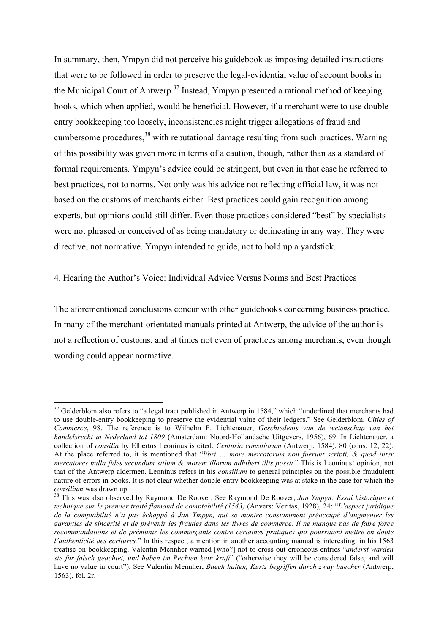In summary, then, Ympyn did not perceive his guidebook as imposing detailed instructions that were to be followed in order to preserve the legal-evidential value of account books in the Municipal Court of Antwerp.<sup>37</sup> Instead, Ympyn presented a rational method of keeping books, which when applied, would be beneficial. However, if a merchant were to use doubleentry bookkeeping too loosely, inconsistencies might trigger allegations of fraud and cumbersome procedures,<sup>38</sup> with reputational damage resulting from such practices. Warning of this possibility was given more in terms of a caution, though, rather than as a standard of formal requirements. Ympyn's advice could be stringent, but even in that case he referred to best practices, not to norms. Not only was his advice not reflecting official law, it was not based on the customs of merchants either. Best practices could gain recognition among experts, but opinions could still differ. Even those practices considered "best" by specialists were not phrased or conceived of as being mandatory or delineating in any way. They were directive, not normative. Ympyn intended to guide, not to hold up a yardstick.

4. Hearing the Author's Voice: Individual Advice Versus Norms and Best Practices

<u> Andreas Andreas Andreas Andreas Andreas Andreas Andreas Andreas Andreas Andreas Andreas Andreas Andreas Andreas</u>

The aforementioned conclusions concur with other guidebooks concerning business practice. In many of the merchant-orientated manuals printed at Antwerp, the advice of the author is not a reflection of customs, and at times not even of practices among merchants, even though wording could appear normative.

<sup>&</sup>lt;sup>37</sup> Gelderblom also refers to "a legal tract published in Antwerp in 1584," which "underlined that merchants had to use double-entry bookkeeping to preserve the evidential value of their ledgers." See Gelderblom, *Cities of Commerce*, 98. The reference is to Wilhelm F. Lichtenauer, *Geschiedenis van de wetenschap van het handelsrecht in Nederland tot 1809* (Amsterdam: Noord-Hollandsche Uitgevers, 1956), 69. In Lichtenauer, a collection of *consilia* by Elbertus Leoninus is cited: *Centuria consiliorum* (Antwerp, 1584), 80 (cons. 12, 22). At the place referred to, it is mentioned that "*libri … more mercatorum non fuerunt scripti, & quod inter mercatores nulla fides secundum stilum & morem illorum adhiberi illis possit*." This is Leoninus' opinion, not that of the Antwerp aldermen. Leoninus refers in his *consilium* to general principles on the possible fraudulent nature of errors in books. It is not clear whether double-entry bookkeeping was at stake in the case for which the *consilium* was drawn up.

<sup>&</sup>lt;sup>38</sup> This was also observed by Raymond De Roover. See Raymond De Roover, *Jan Ympyn: Essai historique et technique sur le premier traité flamand de comptabilité (1543)* (Anvers: Veritas, 1928), 24: "*L'aspect juridique de la comptabilité n'a pas échappé à Jan Ympyn, qui se montre constamment préoccupé d'augmenter les garanties de sincérité et de prévenir les fraudes dans les livres de commerce. Il ne manque pas de faire force recommandations et de prémunir les commerçants contre certaines pratiques qui pourraient mettre en doute l'authenticité des écritures.*" In this respect, a mention in another accounting manual is interesting: in his 1563 treatise on bookkeeping, Valentin Mennher warned [who?] not to cross out erroneous entries "*anderst warden sie fur falsch geachtet, und haben im Rechten kain kraft*" ("otherwise they will be considered false, and will have no value in court"). See Valentin Mennher, *Buech halten, Kurtz begriffen durch zway buecher* (Antwerp, 1563), fol. 2r.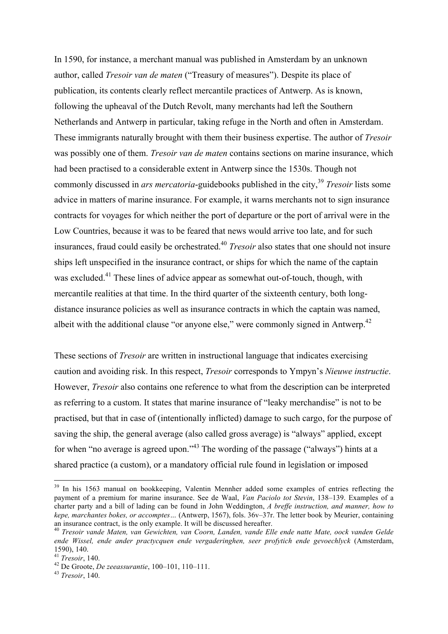In 1590, for instance, a merchant manual was published in Amsterdam by an unknown author, called *Tresoir van de maten* ("Treasury of measures"). Despite its place of publication, its contents clearly reflect mercantile practices of Antwerp. As is known, following the upheaval of the Dutch Revolt, many merchants had left the Southern Netherlands and Antwerp in particular, taking refuge in the North and often in Amsterdam. These immigrants naturally brought with them their business expertise. The author of *Tresoir*  was possibly one of them. *Tresoir van de maten* contains sections on marine insurance, which had been practised to a considerable extent in Antwerp since the 1530s. Though not commonly discussed in *ars mercatoria*-guidebooks published in the city,<sup>39</sup> *Tresoir* lists some advice in matters of marine insurance. For example, it warns merchants not to sign insurance contracts for voyages for which neither the port of departure or the port of arrival were in the Low Countries, because it was to be feared that news would arrive too late, and for such insurances, fraud could easily be orchestrated.<sup>40</sup> *Tresoir* also states that one should not insure ships left unspecified in the insurance contract, or ships for which the name of the captain was excluded.<sup>41</sup> These lines of advice appear as somewhat out-of-touch, though, with mercantile realities at that time. In the third quarter of the sixteenth century, both longdistance insurance policies as well as insurance contracts in which the captain was named, albeit with the additional clause "or anyone else," were commonly signed in Antwerp. $42$ 

These sections of *Tresoir* are written in instructional language that indicates exercising caution and avoiding risk. In this respect, *Tresoir* corresponds to Ympyn's *Nieuwe instructie*. However, *Tresoir* also contains one reference to what from the description can be interpreted as referring to a custom. It states that marine insurance of "leaky merchandise" is not to be practised, but that in case of (intentionally inflicted) damage to such cargo, for the purpose of saving the ship, the general average (also called gross average) is "always" applied, except for when "no average is agreed upon."<sup>43</sup> The wording of the passage ("always") hints at a shared practice (a custom), or a mandatory official rule found in legislation or imposed

<sup>&</sup>lt;sup>39</sup> In his 1563 manual on bookkeeping, Valentin Mennher added some examples of entries reflecting the payment of a premium for marine insurance. See de Waal, *Van Paciolo tot Stevin*, 138–139. Examples of a charter party and a bill of lading can be found in John Weddington, *A breffe instruction, and manner, how to kepe, marchantes bokes, or accomptes…* (Antwerp, 1567), fols. 36v–37r. The letter book by Meurier, containing an insurance contract, is the only example. It will be discussed hereafter.

<sup>40</sup> *Tresoir vande Maten, van Gewichten, van Coorn, Landen, vande Elle ende natte Mate, oock vanden Gelde ende Wissel, ende ander practycquen ende vergaderinghen, seer profytich ende gevoechlyck* (Amsterdam, 1590), 140.<br><sup>41</sup> Tresoir, 140.

<sup>41</sup> *Tresoir*, 140. <sup>42</sup> De Groote, *De zeeassurantie*, 100–101, 110–111. <sup>43</sup> *Tresoir*, 140.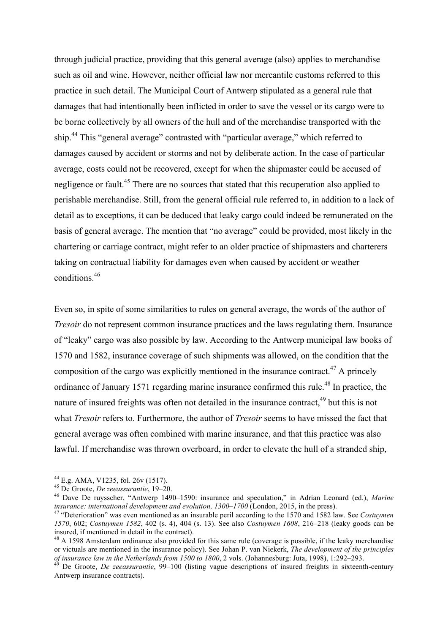through judicial practice, providing that this general average (also) applies to merchandise such as oil and wine. However, neither official law nor mercantile customs referred to this practice in such detail. The Municipal Court of Antwerp stipulated as a general rule that damages that had intentionally been inflicted in order to save the vessel or its cargo were to be borne collectively by all owners of the hull and of the merchandise transported with the ship.<sup>44</sup> This "general average" contrasted with "particular average," which referred to damages caused by accident or storms and not by deliberate action. In the case of particular average, costs could not be recovered, except for when the shipmaster could be accused of negligence or fault.<sup>45</sup> There are no sources that stated that this recuperation also applied to perishable merchandise. Still, from the general official rule referred to, in addition to a lack of detail as to exceptions, it can be deduced that leaky cargo could indeed be remunerated on the basis of general average. The mention that "no average" could be provided, most likely in the chartering or carriage contract, might refer to an older practice of shipmasters and charterers taking on contractual liability for damages even when caused by accident or weather conditions.<sup>46</sup>

Even so, in spite of some similarities to rules on general average, the words of the author of *Tresoir* do not represent common insurance practices and the laws regulating them. Insurance of "leaky" cargo was also possible by law. According to the Antwerp municipal law books of 1570 and 1582, insurance coverage of such shipments was allowed, on the condition that the composition of the cargo was explicitly mentioned in the insurance contract.<sup>47</sup> A princely ordinance of January 1571 regarding marine insurance confirmed this rule.<sup>48</sup> In practice, the nature of insured freights was often not detailed in the insurance contract,<sup>49</sup> but this is not what *Tresoir* refers to. Furthermore, the author of *Tresoir* seems to have missed the fact that general average was often combined with marine insurance, and that this practice was also lawful. If merchandise was thrown overboard, in order to elevate the hull of a stranded ship,

<sup>&</sup>lt;sup>44</sup> E.g. AMA, V1235, fol. 26v (1517).<br><sup>45</sup> De Groote, *De zeeassurantie*, 19–20.<br><sup>46</sup> Dave De ruysscher, "Antwerp 1490–1590: insurance and speculation," in Adrian Leonard (ed.), *Marine insurance: international developm* 

<sup>&</sup>lt;sup>47</sup> "Deterioration" was even mentioned as an insurable peril according to the 1570 and 1582 law. See *Costuymen 1570*, 602; *Costuymen 1582*, 402 (s. 4), 404 (s. 13). See also *Costuymen 1608*, 216–218 (leaky goods can be insured, if mentioned in detail in the contract).

 $48$  A 1598 Amsterdam ordinance also provided for this same rule (coverage is possible, if the leaky merchandise or victuals are mentioned in the insurance policy). See Johan P. van Niekerk, *The development of the principles of insurance law in the Netherlands from 1500 to 1800*, 2 vols. (Johannesburg: Juta, 1998), 1:292–293.<br><sup>49</sup> De Groote, *De zeeassurantie*, 99–100 (listing vague descriptions of insured freights in sixteenth-century

Antwerp insurance contracts).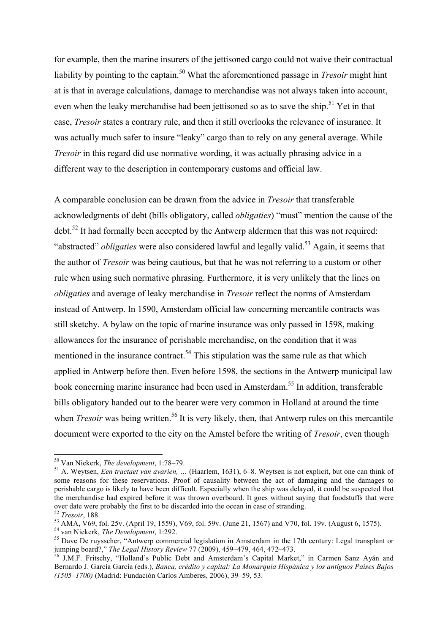for example, then the marine insurers of the jettisoned cargo could not waive their contractual liability by pointing to the captain.<sup>50</sup> What the aforementioned passage in *Tresoir* might hint at is that in average calculations, damage to merchandise was not always taken into account, even when the leaky merchandise had been jettisoned so as to save the ship.<sup>51</sup> Yet in that case, *Tresoir* states a contrary rule, and then it still overlooks the relevance of insurance. It was actually much safer to insure "leaky" cargo than to rely on any general average. While *Tresoir* in this regard did use normative wording, it was actually phrasing advice in a different way to the description in contemporary customs and official law.

A comparable conclusion can be drawn from the advice in *Tresoir* that transferable acknowledgments of debt (bills obligatory, called *obligaties*) "must" mention the cause of the debt.<sup>52</sup> It had formally been accepted by the Antwerp aldermen that this was not required: "abstracted" *obligaties* were also considered lawful and legally valid.53 Again, it seems that the author of *Tresoir* was being cautious, but that he was not referring to a custom or other rule when using such normative phrasing. Furthermore, it is very unlikely that the lines on *obligaties* and average of leaky merchandise in *Tresoir* reflect the norms of Amsterdam instead of Antwerp. In 1590, Amsterdam official law concerning mercantile contracts was still sketchy. A bylaw on the topic of marine insurance was only passed in 1598, making allowances for the insurance of perishable merchandise, on the condition that it was mentioned in the insurance contract.<sup>54</sup> This stipulation was the same rule as that which applied in Antwerp before then. Even before 1598, the sections in the Antwerp municipal law book concerning marine insurance had been used in Amsterdam.<sup>55</sup> In addition, transferable bills obligatory handed out to the bearer were very common in Holland at around the time when *Tresoir* was being written.<sup>56</sup> It is very likely, then, that Antwerp rules on this mercantile document were exported to the city on the Amstel before the writing of *Tresoir*, even though

<sup>50</sup> Van Niekerk, *The development*, 1:78–79. <sup>51</sup> A. Weytsen, *Een tractaet van avarien, …* (Haarlem, 1631), 6–8. Weytsen is not explicit, but one can think of some reasons for these reservations. Proof of causality between the act of damaging and the damages to perishable cargo is likely to have been difficult. Especially when the ship was delayed, it could be suspected that the merchandise had expired before it was thrown overboard. It goes without saying that foodstuffs that were over date were probably the first to be discarded into the ocean in case of stranding.

<sup>&</sup>lt;sup>52</sup> *Tresoir*, 188.<br><sup>53</sup> AMA, V69, fol. 25v. (April 19, 1559), V69, fol. 59v. (June 21, 1567) and V70, fol. 19v. (August 6, 1575).<br><sup>54</sup> van Niekerk, *The Development*, 1:292.<br><sup>55</sup> Dave De ruysscher, "Antwerp commercial l jumping board?," *The Legal History Review* 77 (2009), 459–479, 464, 472–473.<br><sup>56</sup> J.M.F. Fritschy, "Holland's Public Debt and Amsterdam's Capital Market," in Carmen Sanz Ayán and

Bernardo J. García García (eds.), *Banca, crédito y capital: La Monarquía Hispánica y los antiguos Países Bajos (1505*–*1700)* (Madrid: Fundación Carlos Amberes, 2006), 39–59, 53.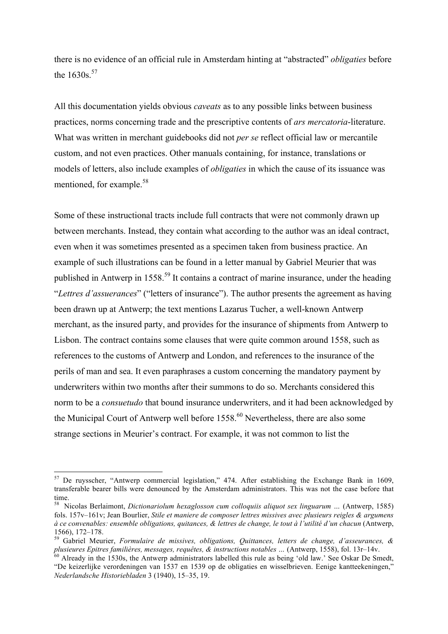there is no evidence of an official rule in Amsterdam hinting at "abstracted" *obligaties* before the  $1630s^{57}$ 

All this documentation yields obvious *caveats* as to any possible links between business practices, norms concerning trade and the prescriptive contents of *ars mercatoria*-literature. What was written in merchant guidebooks did not *per se* reflect official law or mercantile custom, and not even practices. Other manuals containing, for instance, translations or models of letters, also include examples of *obligaties* in which the cause of its issuance was mentioned, for example.<sup>58</sup>

Some of these instructional tracts include full contracts that were not commonly drawn up between merchants. Instead, they contain what according to the author was an ideal contract, even when it was sometimes presented as a specimen taken from business practice. An example of such illustrations can be found in a letter manual by Gabriel Meurier that was published in Antwerp in 1558.<sup>59</sup> It contains a contract of marine insurance, under the heading "*Lettres d'assuerances*" ("letters of insurance"). The author presents the agreement as having been drawn up at Antwerp; the text mentions Lazarus Tucher, a well-known Antwerp merchant, as the insured party, and provides for the insurance of shipments from Antwerp to Lisbon. The contract contains some clauses that were quite common around 1558, such as references to the customs of Antwerp and London, and references to the insurance of the perils of man and sea. It even paraphrases a custom concerning the mandatory payment by underwriters within two months after their summons to do so. Merchants considered this norm to be a *consuetudo* that bound insurance underwriters, and it had been acknowledged by the Municipal Court of Antwerp well before  $1558<sup>60</sup>$  Nevertheless, there are also some strange sections in Meurier's contract. For example, it was not common to list the

 

<sup>57</sup> De ruysscher, "Antwerp commercial legislation," 474. After establishing the Exchange Bank in 1609, transferable bearer bills were denounced by the Amsterdam administrators. This was not the case before that time.

<sup>58</sup> Nicolas Berlaimont, *Dictionariolum hexaglosson cum colloquiis aliquot sex linguarum …* (Antwerp, 1585) fols. 157v–161v; Jean Bourlier, *Stile et maniere de composer lettres missives avec plusieurs reigles & argumens à ce convenables: ensemble obligations, quitances, & lettres de change, le tout à l'utilité d'un chacun* (Antwerp, 1566), 172–178. <sup>59</sup> Gabriel Meurier, *Formulaire de missives, obligations, Quittances, letters de change, d'asseurances, &* 

plusieures Epitres familières, messages, requêtes, & instructions notables ... (Antwerp, 1558), fol. 13r-14v.<br><sup>60</sup> Already in the 1530s, the Antwerp administrators labelled this rule as being 'old law.' See Oskar De Smedt,

<sup>&</sup>quot;De keizerlijke verordeningen van 1537 en 1539 op de obligaties en wisselbrieven. Eenige kantteekeningen," *Nederlandsche Historiebladen* 3 (1940), 15–35, 19.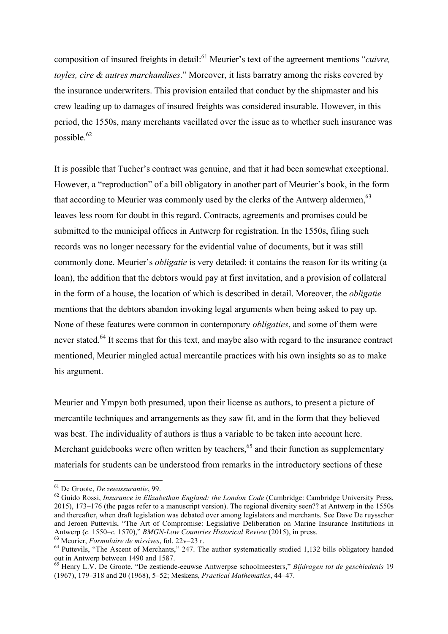composition of insured freights in detail:61 Meurier's text of the agreement mentions "*cuivre, toyles, cire & autres marchandises*." Moreover, it lists barratry among the risks covered by the insurance underwriters. This provision entailed that conduct by the shipmaster and his crew leading up to damages of insured freights was considered insurable. However, in this period, the 1550s, many merchants vacillated over the issue as to whether such insurance was possible.62

It is possible that Tucher's contract was genuine, and that it had been somewhat exceptional. However, a "reproduction" of a bill obligatory in another part of Meurier's book, in the form that according to Meurier was commonly used by the clerks of the Antwerp aldermen,<sup>63</sup> leaves less room for doubt in this regard. Contracts, agreements and promises could be submitted to the municipal offices in Antwerp for registration. In the 1550s, filing such records was no longer necessary for the evidential value of documents, but it was still commonly done. Meurier's *obligatie* is very detailed: it contains the reason for its writing (a loan), the addition that the debtors would pay at first invitation, and a provision of collateral in the form of a house, the location of which is described in detail. Moreover, the *obligatie* mentions that the debtors abandon invoking legal arguments when being asked to pay up. None of these features were common in contemporary *obligaties*, and some of them were never stated.<sup>64</sup> It seems that for this text, and maybe also with regard to the insurance contract mentioned, Meurier mingled actual mercantile practices with his own insights so as to make his argument.

Meurier and Ympyn both presumed, upon their license as authors, to present a picture of mercantile techniques and arrangements as they saw fit, and in the form that they believed was best. The individuality of authors is thus a variable to be taken into account here. Merchant guidebooks were often written by teachers,  $65$  and their function as supplementary materials for students can be understood from remarks in the introductory sections of these

<sup>&</sup>lt;u> Andreas Andreas Andreas Andreas Andreas Andreas Andreas Andreas Andreas Andreas Andreas Andreas Andreas Andreas</u>

<sup>&</sup>lt;sup>61</sup> De Groote, *De zeeassurantie*, 99.<br><sup>62</sup> Guido Rossi, *Insurance in Elizabethan England: the London Code* (Cambridge: Cambridge University Press, 2015), 173–176 (the pages refer to a manuscript version). The regional diversity seen?? at Antwerp in the 1550s and thereafter, when draft legislation was debated over among legislators and merchants. See Dave De ruysscher and Jeroen Puttevils, "The Art of Compromise: Legislative Deliberation on Marine Insurance Institutions in Antwerp  $(c. 1550-c. 1570)$ ," BMGN-Low Countries Historical Review (2015), in press.

 $^{63}$  Meurier, *Formulaire de missives*, fol. 22v-23 r.<br><sup>64</sup> Puttevils, "The Ascent of Merchants," 247. The author systematically studied 1,132 bills obligatory handed out in Antwerp between 1490 and 1587.

<sup>65</sup> Henry L.V. De Groote, "De zestiende-eeuwse Antwerpse schoolmeesters," *Bijdragen tot de geschiedenis* 19 (1967), 179–318 and 20 (1968), 5–52; Meskens, *Practical Mathematics*, 44–47.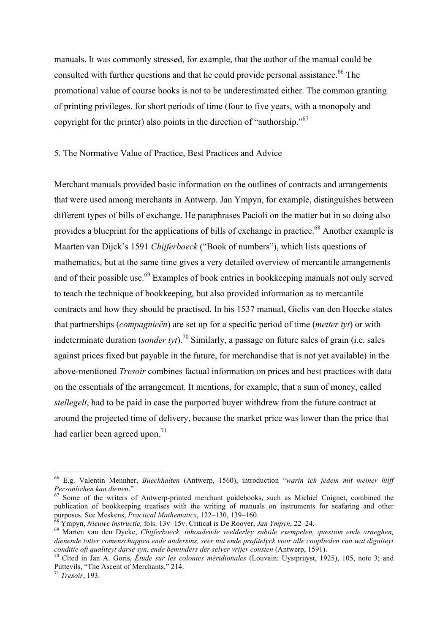manuals. It was commonly stressed, for example, that the author of the manual could be consulted with further questions and that he could provide personal assistance.<sup>66</sup> The promotional value of course books is not to be underestimated either. The common granting of printing privileges, for short periods of time (four to five years, with a monopoly and copyright for the printer) also points in the direction of "authorship."67

### 5. The Normative Value of Practice, Best Practices and Advice

Merchant manuals provided basic information on the outlines of contracts and arrangements that were used among merchants in Antwerp. Jan Ympyn, for example, distinguishes between different types of bills of exchange. He paraphrases Pacioli on the matter but in so doing also provides a blueprint for the applications of bills of exchange in practice.<sup>68</sup> Another example is Maarten van Dijck's 1591 *Chijferboeck* ("Book of numbers"), which lists questions of mathematics, but at the same time gives a very detailed overview of mercantile arrangements and of their possible use.<sup>69</sup> Examples of book entries in bookkeeping manuals not only served to teach the technique of bookkeeping, but also provided information as to mercantile contracts and how they should be practised. In his 1537 manual, Gielis van den Hoecke states that partnerships (*compagnieën*) are set up for a specific period of time (*metter tyt*) or with indeterminate duration (*sonder tyt*).<sup>70</sup> Similarly, a passage on future sales of grain (i.e. sales against prices fixed but payable in the future, for merchandise that is not yet available) in the above-mentioned *Tresoir* combines factual information on prices and best practices with data on the essentials of the arrangement. It mentions, for example, that a sum of money, called *stellegelt*, had to be paid in case the purported buyer withdrew from the future contract at around the projected time of delivery, because the market price was lower than the price that had earlier been agreed upon. $71$ 

 

<sup>66</sup> E.g. Valentin Mennher, *Buechhalten* (Antwerp, 1560), introduction "*warin ich jedem mit meiner hilff Personlichen kan dienen*."<br><sup>67</sup> Some of the writers of Antwerp-printed merchant guidebooks, such as Michiel Coignet, combined the

publication of bookkeeping treatises with the writing of manuals on instruments for seafaring and other purposes. See Meskens, *Practical Mathematics*, 122–130, 139–160.<br><sup>68</sup> Ympyn, *Nieuwe instructie*, fols. 13v–15v. Critical is De Roover, Jan Ympyn, 22–24.<br><sup>69</sup> Marten van den Dycke, *Chijferboeck, inhoudende veelderley sub* 

*dienende totter comenschappen ende andersins, seer nut ende profitelyck voor alle cooplieden van wat digniteyt conditie oft qualiteyt darse syn, ende beminders der selver vrijer consten* (Antwerp, 1591). <sup>70</sup> Cited in Jan A. Goris, *Étude sur les colonies méridionales* (Louvain: Uystpruyst, 1925), 105, note 3; and

Puttevils, "The Ascent of Merchants," 214.

<sup>71</sup> *Tresoir*, 193.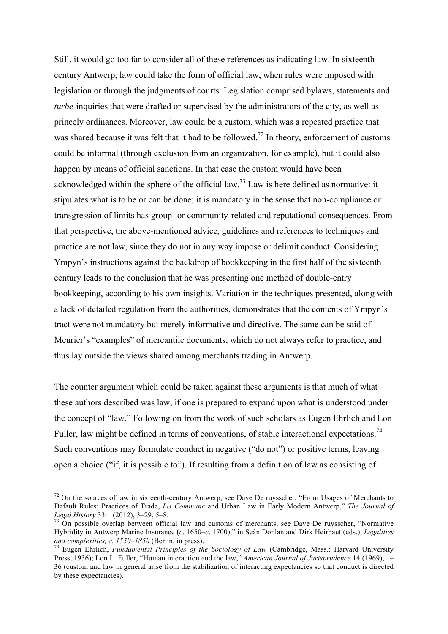Still, it would go too far to consider all of these references as indicating law. In sixteenthcentury Antwerp, law could take the form of official law, when rules were imposed with legislation or through the judgments of courts. Legislation comprised bylaws, statements and *turbe-*inquiries that were drafted or supervised by the administrators of the city, as well as princely ordinances. Moreover, law could be a custom, which was a repeated practice that was shared because it was felt that it had to be followed.<sup>72</sup> In theory, enforcement of customs could be informal (through exclusion from an organization, for example), but it could also happen by means of official sanctions. In that case the custom would have been acknowledged within the sphere of the official law.<sup>73</sup> Law is here defined as normative: it stipulates what is to be or can be done; it is mandatory in the sense that non-compliance or transgression of limits has group- or community-related and reputational consequences. From that perspective, the above-mentioned advice, guidelines and references to techniques and practice are not law, since they do not in any way impose or delimit conduct. Considering Ympyn's instructions against the backdrop of bookkeeping in the first half of the sixteenth century leads to the conclusion that he was presenting one method of double-entry bookkeeping, according to his own insights. Variation in the techniques presented, along with a lack of detailed regulation from the authorities, demonstrates that the contents of Ympyn's tract were not mandatory but merely informative and directive. The same can be said of Meurier's "examples" of mercantile documents, which do not always refer to practice, and thus lay outside the views shared among merchants trading in Antwerp.

The counter argument which could be taken against these arguments is that much of what these authors described was law, if one is prepared to expand upon what is understood under the concept of "law." Following on from the work of such scholars as Eugen Ehrlich and Lon Fuller, law might be defined in terms of conventions, of stable interactional expectations.<sup>74</sup> Such conventions may formulate conduct in negative ("do not") or positive terms, leaving open a choice ("if, it is possible to"). If resulting from a definition of law as consisting of

 $72$  On the sources of law in sixteenth-century Antwerp, see Dave De ruysscher, "From Usages of Merchants to Default Rules: Practices of Trade, *Ius Commune* and Urban Law in Early Modern Antwerp," *The Journal of Legal History* 33:1 (2012), 3–29, 5–8. <sup>73</sup> On possible overlap between official law and customs of merchants, see Dave De ruysscher, "Normative

Hybridity in Antwerp Marine Insurance (*c*. 1650–*c*. 1700)," in Seán Donlan and Dirk Heirbaut (eds.), *Legalities* 

<sup>&</sup>lt;sup>74</sup> Eugen Ehrlich, *Fundamental Principles of the Sociology of Law* (Cambridge, Mass.: Harvard University Press, 1936); Lon L. Fuller, "Human interaction and the law," *American Journal of Jurisprudence* 14 (1969), 1– 36 (custom and law in general arise from the stabilization of interacting expectancies so that conduct is directed by these expectancies).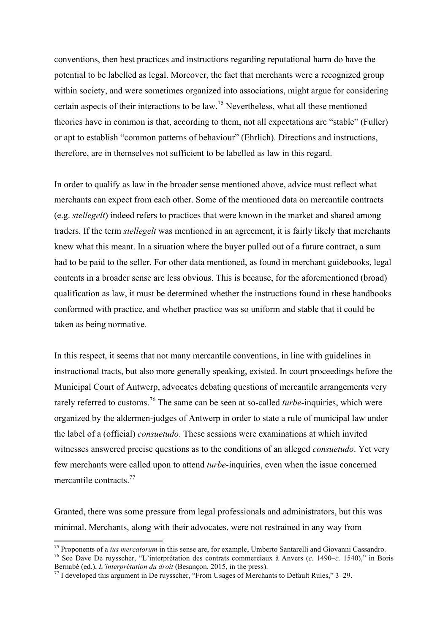conventions, then best practices and instructions regarding reputational harm do have the potential to be labelled as legal. Moreover, the fact that merchants were a recognized group within society, and were sometimes organized into associations, might argue for considering certain aspects of their interactions to be law.75 Nevertheless, what all these mentioned theories have in common is that, according to them, not all expectations are "stable" (Fuller) or apt to establish "common patterns of behaviour" (Ehrlich). Directions and instructions, therefore, are in themselves not sufficient to be labelled as law in this regard.

In order to qualify as law in the broader sense mentioned above, advice must reflect what merchants can expect from each other. Some of the mentioned data on mercantile contracts (e.g. *stellegelt*) indeed refers to practices that were known in the market and shared among traders. If the term *stellegelt* was mentioned in an agreement, it is fairly likely that merchants knew what this meant. In a situation where the buyer pulled out of a future contract, a sum had to be paid to the seller. For other data mentioned, as found in merchant guidebooks, legal contents in a broader sense are less obvious. This is because, for the aforementioned (broad) qualification as law, it must be determined whether the instructions found in these handbooks conformed with practice, and whether practice was so uniform and stable that it could be taken as being normative.

In this respect, it seems that not many mercantile conventions, in line with guidelines in instructional tracts, but also more generally speaking, existed. In court proceedings before the Municipal Court of Antwerp, advocates debating questions of mercantile arrangements very rarely referred to customs.<sup>76</sup> The same can be seen at so-called *turbe*-inquiries, which were organized by the aldermen-judges of Antwerp in order to state a rule of municipal law under the label of a (official) *consuetudo*. These sessions were examinations at which invited witnesses answered precise questions as to the conditions of an alleged *consuetudo*. Yet very few merchants were called upon to attend *turbe*-inquiries, even when the issue concerned mercantile contracts<sup>77</sup>

Granted, there was some pressure from legal professionals and administrators, but this was minimal. Merchants, along with their advocates, were not restrained in any way from

 $75$  Proponents of a *ius mercatorum* in this sense are, for example, Umberto Santarelli and Giovanni Cassandro.

<sup>&</sup>lt;sup>76</sup> See Dave De ruysscher, "L'interprétation des contrats commerciaux à Anvers (c. 1490–c. 1540)," in Boris Bernabé (ed.). L'interprétation du droit (Besancon. 2015, in the press).

<sup>&</sup>lt;sup>77</sup> I developed this argument in De ruysscher, "From Usages of Merchants to Default Rules," 3–29.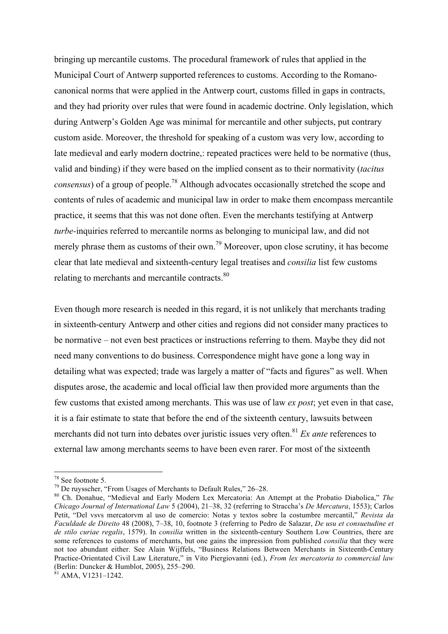bringing up mercantile customs. The procedural framework of rules that applied in the Municipal Court of Antwerp supported references to customs. According to the Romanocanonical norms that were applied in the Antwerp court, customs filled in gaps in contracts, and they had priority over rules that were found in academic doctrine. Only legislation, which during Antwerp's Golden Age was minimal for mercantile and other subjects, put contrary custom aside. Moreover, the threshold for speaking of a custom was very low, according to late medieval and early modern doctrine,: repeated practices were held to be normative (thus, valid and binding) if they were based on the implied consent as to their normativity (*tacitus consensus*) of a group of people.<sup>78</sup> Although advocates occasionally stretched the scope and contents of rules of academic and municipal law in order to make them encompass mercantile practice, it seems that this was not done often. Even the merchants testifying at Antwerp *turbe-*inquiries referred to mercantile norms as belonging to municipal law, and did not merely phrase them as customs of their own.<sup>79</sup> Moreover, upon close scrutiny, it has become clear that late medieval and sixteenth-century legal treatises and *consilia* list few customs relating to merchants and mercantile contracts.<sup>80</sup>

Even though more research is needed in this regard, it is not unlikely that merchants trading in sixteenth-century Antwerp and other cities and regions did not consider many practices to be normative – not even best practices or instructions referring to them. Maybe they did not need many conventions to do business. Correspondence might have gone a long way in detailing what was expected; trade was largely a matter of "facts and figures" as well. When disputes arose, the academic and local official law then provided more arguments than the few customs that existed among merchants. This was use of law *ex post*; yet even in that case, it is a fair estimate to state that before the end of the sixteenth century, lawsuits between merchants did not turn into debates over juristic issues very often.<sup>81</sup> *Ex ante* references to external law among merchants seems to have been even rarer. For most of the sixteenth

 

<sup>&</sup>lt;sup>78</sup> See footnote 5.<br><sup>79</sup> De ruysscher, "From Usages of Merchants to Default Rules," 26–28.<br><sup>80</sup> Ch. Donahue, "Medieval and Early Modern Lex Mercatoria: An Attempt at the Probatio Diabolica," *The Chicago Journal of International Law* 5 (2004), 21–38, 32 (referring to Straccha's *De Mercatura*, 1553); Carlos Petit, "Del vsvs mercatorvm al uso de comercio: Notas y textos sobre la costumbre mercantil," *Revista da Faculdade de Direito* 48 (2008), 7–38, 10, footnote 3 (referring to Pedro de Salazar, *De usu et consuetudine et de stilo curiae regalis*, 1579). In *consilia* written in the sixteenth-century Southern Low Countries, there are some references to customs of merchants, but one gains the impression from published *consilia* that they were not too abundant either. See Alain Wijffels, "Business Relations Between Merchants in Sixteenth-Century Practice-Orientated Civil Law Literature," in Vito Piergiovanni (ed.), *From lex mercatoria to commercial law* (Berlin: Duncker & Humblot, 2005), 255–290. <sup>81</sup> AMA, V1231–1242.